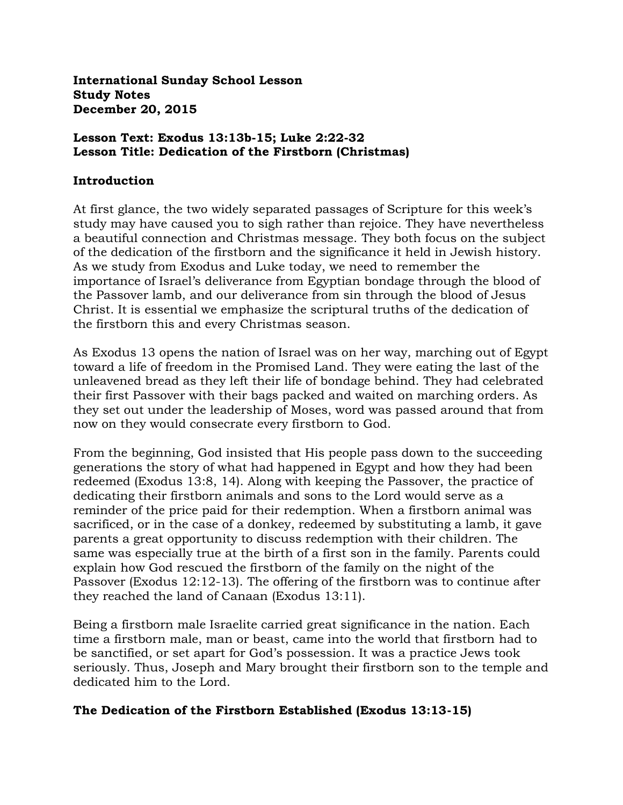**International Sunday School Lesson Study Notes December 20, 2015**

### **Lesson Text: Exodus 13:13b-15; Luke 2:22-32 Lesson Title: Dedication of the Firstborn (Christmas)**

### **Introduction**

At first glance, the two widely separated passages of Scripture for this week's study may have caused you to sigh rather than rejoice. They have nevertheless a beautiful connection and Christmas message. They both focus on the subject of the dedication of the firstborn and the significance it held in Jewish history. As we study from Exodus and Luke today, we need to remember the importance of Israel's deliverance from Egyptian bondage through the blood of the Passover lamb, and our deliverance from sin through the blood of Jesus Christ. It is essential we emphasize the scriptural truths of the dedication of the firstborn this and every Christmas season.

As Exodus 13 opens the nation of Israel was on her way, marching out of Egypt toward a life of freedom in the Promised Land. They were eating the last of the unleavened bread as they left their life of bondage behind. They had celebrated their first Passover with their bags packed and waited on marching orders. As they set out under the leadership of Moses, word was passed around that from now on they would consecrate every firstborn to God.

From the beginning, God insisted that His people pass down to the succeeding generations the story of what had happened in Egypt and how they had been redeemed (Exodus 13:8, 14). Along with keeping the Passover, the practice of dedicating their firstborn animals and sons to the Lord would serve as a reminder of the price paid for their redemption. When a firstborn animal was sacrificed, or in the case of a donkey, redeemed by substituting a lamb, it gave parents a great opportunity to discuss redemption with their children. The same was especially true at the birth of a first son in the family. Parents could explain how God rescued the firstborn of the family on the night of the Passover (Exodus 12:12-13). The offering of the firstborn was to continue after they reached the land of Canaan (Exodus 13:11).

Being a firstborn male Israelite carried great significance in the nation. Each time a firstborn male, man or beast, came into the world that firstborn had to be sanctified, or set apart for God's possession. It was a practice Jews took seriously. Thus, Joseph and Mary brought their firstborn son to the temple and dedicated him to the Lord.

# **The Dedication of the Firstborn Established (Exodus 13:13-15)**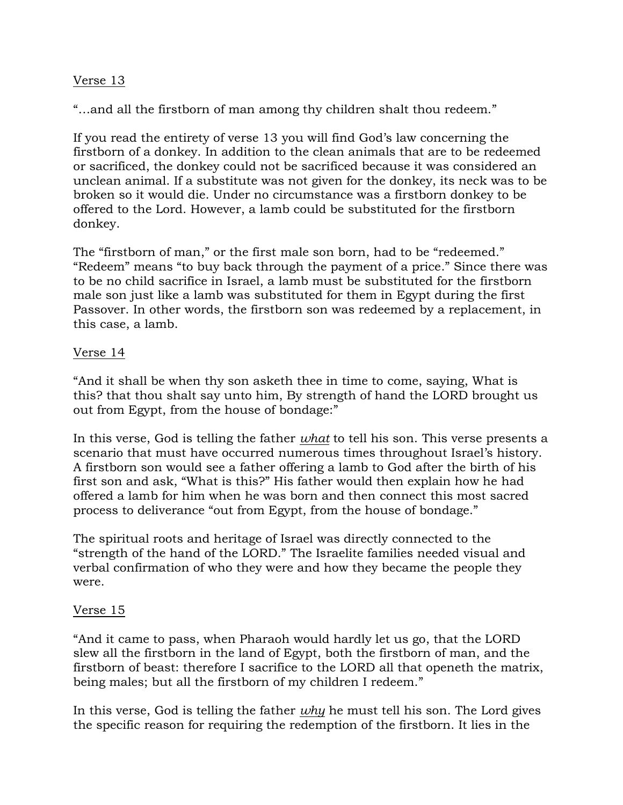# Verse 13

"…and all the firstborn of man among thy children shalt thou redeem."

If you read the entirety of verse 13 you will find God's law concerning the firstborn of a donkey. In addition to the clean animals that are to be redeemed or sacrificed, the donkey could not be sacrificed because it was considered an unclean animal. If a substitute was not given for the donkey, its neck was to be broken so it would die. Under no circumstance was a firstborn donkey to be offered to the Lord. However, a lamb could be substituted for the firstborn donkey.

The "firstborn of man," or the first male son born, had to be "redeemed." "Redeem" means "to buy back through the payment of a price." Since there was to be no child sacrifice in Israel, a lamb must be substituted for the firstborn male son just like a lamb was substituted for them in Egypt during the first Passover. In other words, the firstborn son was redeemed by a replacement, in this case, a lamb.

### Verse 14

"And it shall be when thy son asketh thee in time to come, saying, What is this? that thou shalt say unto him, By strength of hand the LORD brought us out from Egypt, from the house of bondage:"

In this verse, God is telling the father *what* to tell his son. This verse presents a scenario that must have occurred numerous times throughout Israel's history. A firstborn son would see a father offering a lamb to God after the birth of his first son and ask, "What is this?" His father would then explain how he had offered a lamb for him when he was born and then connect this most sacred process to deliverance "out from Egypt, from the house of bondage."

The spiritual roots and heritage of Israel was directly connected to the "strength of the hand of the LORD." The Israelite families needed visual and verbal confirmation of who they were and how they became the people they were.

### Verse 15

"And it came to pass, when Pharaoh would hardly let us go, that the LORD slew all the firstborn in the land of Egypt, both the firstborn of man, and the firstborn of beast: therefore I sacrifice to the LORD all that openeth the matrix, being males; but all the firstborn of my children I redeem."

In this verse, God is telling the father *why* he must tell his son. The Lord gives the specific reason for requiring the redemption of the firstborn. It lies in the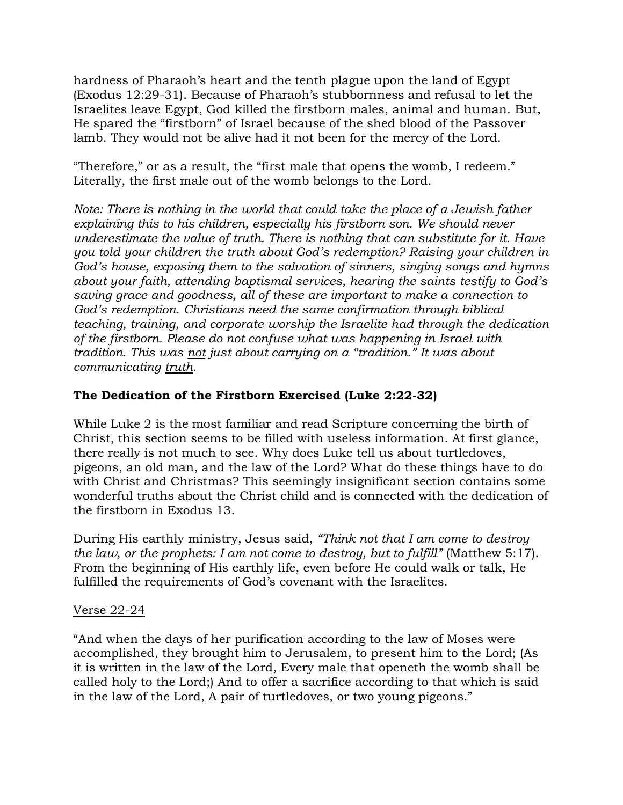hardness of Pharaoh's heart and the tenth plague upon the land of Egypt (Exodus 12:29-31). Because of Pharaoh's stubbornness and refusal to let the Israelites leave Egypt, God killed the firstborn males, animal and human. But, He spared the "firstborn" of Israel because of the shed blood of the Passover lamb. They would not be alive had it not been for the mercy of the Lord.

"Therefore," or as a result, the "first male that opens the womb, I redeem." Literally, the first male out of the womb belongs to the Lord.

*Note: There is nothing in the world that could take the place of a Jewish father explaining this to his children, especially his firstborn son. We should never underestimate the value of truth. There is nothing that can substitute for it. Have you told your children the truth about God's redemption? Raising your children in God's house, exposing them to the salvation of sinners, singing songs and hymns about your faith, attending baptismal services, hearing the saints testify to God's saving grace and goodness, all of these are important to make a connection to God's redemption. Christians need the same confirmation through biblical teaching, training, and corporate worship the Israelite had through the dedication of the firstborn. Please do not confuse what was happening in Israel with tradition. This was not just about carrying on a "tradition." It was about communicating truth.* 

# **The Dedication of the Firstborn Exercised (Luke 2:22-32)**

While Luke 2 is the most familiar and read Scripture concerning the birth of Christ, this section seems to be filled with useless information. At first glance, there really is not much to see. Why does Luke tell us about turtledoves, pigeons, an old man, and the law of the Lord? What do these things have to do with Christ and Christmas? This seemingly insignificant section contains some wonderful truths about the Christ child and is connected with the dedication of the firstborn in Exodus 13.

During His earthly ministry, Jesus said, *"Think not that I am come to destroy the law, or the prophets: I am not come to destroy, but to fulfill"* (Matthew 5:17). From the beginning of His earthly life, even before He could walk or talk, He fulfilled the requirements of God's covenant with the Israelites.

### Verse 22-24

"And when the days of her purification according to the law of Moses were accomplished, they brought him to Jerusalem, to present him to the Lord; (As it is written in the law of the Lord, Every male that openeth the womb shall be called holy to the Lord;) And to offer a sacrifice according to that which is said in the law of the Lord, A pair of turtledoves, or two young pigeons."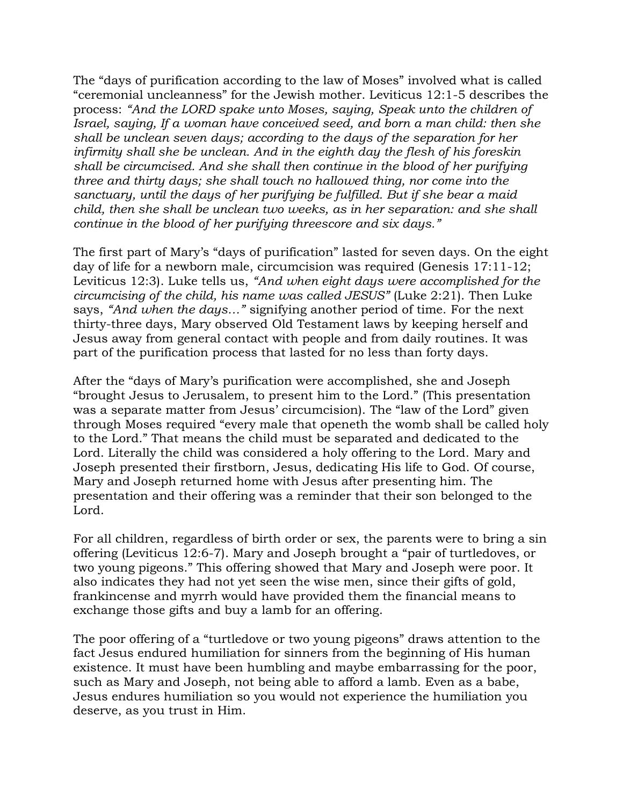The "days of purification according to the law of Moses" involved what is called "ceremonial uncleanness" for the Jewish mother. Leviticus 12:1-5 describes the process: *"And the LORD spake unto Moses, saying, Speak unto the children of Israel, saying, If a woman have conceived seed, and born a man child: then she shall be unclean seven days; according to the days of the separation for her infirmity shall she be unclean. And in the eighth day the flesh of his foreskin shall be circumcised. And she shall then continue in the blood of her purifying three and thirty days; she shall touch no hallowed thing, nor come into the sanctuary, until the days of her purifying be fulfilled. But if she bear a maid child, then she shall be unclean two weeks, as in her separation: and she shall continue in the blood of her purifying threescore and six days."* 

The first part of Mary's "days of purification" lasted for seven days. On the eight day of life for a newborn male, circumcision was required (Genesis 17:11-12; Leviticus 12:3). Luke tells us, *"And when eight days were accomplished for the circumcising of the child, his name was called JESUS"* (Luke 2:21). Then Luke says, *"And when the days…"* signifying another period of time. For the next thirty-three days, Mary observed Old Testament laws by keeping herself and Jesus away from general contact with people and from daily routines. It was part of the purification process that lasted for no less than forty days.

After the "days of Mary's purification were accomplished, she and Joseph "brought Jesus to Jerusalem, to present him to the Lord." (This presentation was a separate matter from Jesus' circumcision). The "law of the Lord" given through Moses required "every male that openeth the womb shall be called holy to the Lord." That means the child must be separated and dedicated to the Lord. Literally the child was considered a holy offering to the Lord. Mary and Joseph presented their firstborn, Jesus, dedicating His life to God. Of course, Mary and Joseph returned home with Jesus after presenting him. The presentation and their offering was a reminder that their son belonged to the Lord.

For all children, regardless of birth order or sex, the parents were to bring a sin offering (Leviticus 12:6-7). Mary and Joseph brought a "pair of turtledoves, or two young pigeons." This offering showed that Mary and Joseph were poor. It also indicates they had not yet seen the wise men, since their gifts of gold, frankincense and myrrh would have provided them the financial means to exchange those gifts and buy a lamb for an offering.

The poor offering of a "turtledove or two young pigeons" draws attention to the fact Jesus endured humiliation for sinners from the beginning of His human existence. It must have been humbling and maybe embarrassing for the poor, such as Mary and Joseph, not being able to afford a lamb. Even as a babe, Jesus endures humiliation so you would not experience the humiliation you deserve, as you trust in Him.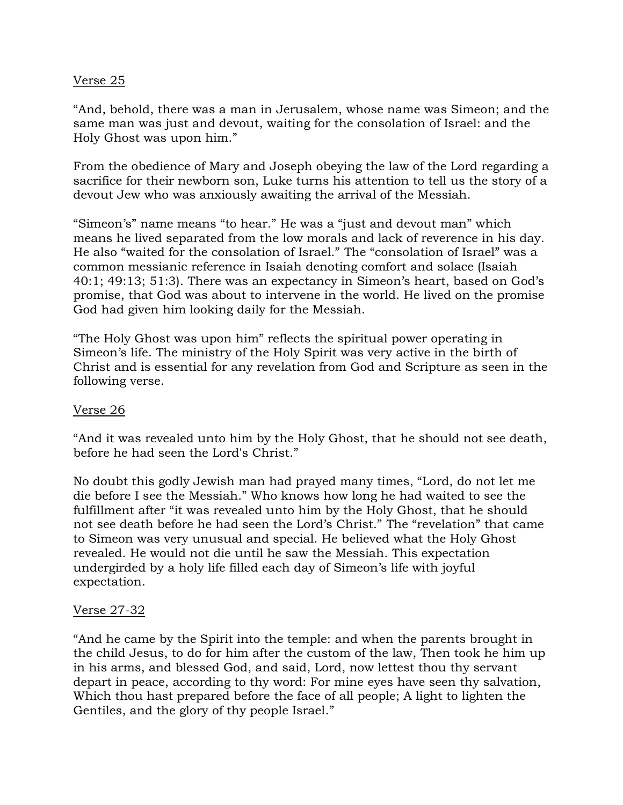### Verse 25

"And, behold, there was a man in Jerusalem, whose name was Simeon; and the same man was just and devout, waiting for the consolation of Israel: and the Holy Ghost was upon him."

From the obedience of Mary and Joseph obeying the law of the Lord regarding a sacrifice for their newborn son, Luke turns his attention to tell us the story of a devout Jew who was anxiously awaiting the arrival of the Messiah.

"Simeon's" name means "to hear." He was a "just and devout man" which means he lived separated from the low morals and lack of reverence in his day. He also "waited for the consolation of Israel." The "consolation of Israel" was a common messianic reference in Isaiah denoting comfort and solace (Isaiah 40:1; 49:13; 51:3). There was an expectancy in Simeon's heart, based on God's promise, that God was about to intervene in the world. He lived on the promise God had given him looking daily for the Messiah.

"The Holy Ghost was upon him" reflects the spiritual power operating in Simeon's life. The ministry of the Holy Spirit was very active in the birth of Christ and is essential for any revelation from God and Scripture as seen in the following verse.

### Verse 26

"And it was revealed unto him by the Holy Ghost, that he should not see death, before he had seen the Lord's Christ."

No doubt this godly Jewish man had prayed many times, "Lord, do not let me die before I see the Messiah." Who knows how long he had waited to see the fulfillment after "it was revealed unto him by the Holy Ghost, that he should not see death before he had seen the Lord's Christ." The "revelation" that came to Simeon was very unusual and special. He believed what the Holy Ghost revealed. He would not die until he saw the Messiah. This expectation undergirded by a holy life filled each day of Simeon's life with joyful expectation.

### Verse 27-32

"And he came by the Spirit into the temple: and when the parents brought in the child Jesus, to do for him after the custom of the law, Then took he him up in his arms, and blessed God, and said, Lord, now lettest thou thy servant depart in peace, according to thy word: For mine eyes have seen thy salvation, Which thou hast prepared before the face of all people; A light to lighten the Gentiles, and the glory of thy people Israel."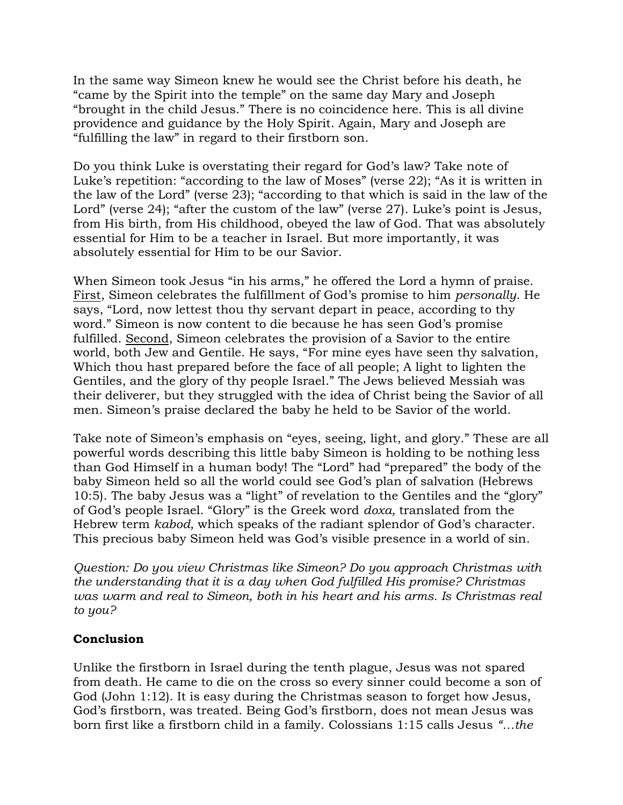In the same way Simeon knew he would see the Christ before his death, he "came by the Spirit into the temple" on the same day Mary and Joseph "brought in the child Jesus." There is no coincidence here. This is all divine providence and guidance by the Holy Spirit. Again, Mary and Joseph are "fulfilling the law" in regard to their firstborn son.

Do you think Luke is overstating their regard for God's law? Take note of Luke's repetition: "according to the law of Moses" (verse 22); "As it is written in the law of the Lord" (verse 23); "according to that which is said in the law of the Lord" (verse 24); "after the custom of the law" (verse 27). Luke's point is Jesus, from His birth, from His childhood, obeyed the law of God. That was absolutely essential for Him to be a teacher in Israel. But more importantly, it was absolutely essential for Him to be our Savior.

When Simeon took Jesus "in his arms," he offered the Lord a hymn of praise. First, Simeon celebrates the fulfillment of God's promise to him *personally*. He says, "Lord, now lettest thou thy servant depart in peace, according to thy word." Simeon is now content to die because he has seen God's promise fulfilled. Second, Simeon celebrates the provision of a Savior to the entire world, both Jew and Gentile. He says, "For mine eyes have seen thy salvation, Which thou hast prepared before the face of all people; A light to lighten the Gentiles, and the glory of thy people Israel." The Jews believed Messiah was their deliverer, but they struggled with the idea of Christ being the Savior of all men. Simeon's praise declared the baby he held to be Savior of the world.

Take note of Simeon's emphasis on "eyes, seeing, light, and glory." These are all powerful words describing this little baby Simeon is holding to be nothing less than God Himself in a human body! The "Lord" had "prepared" the body of the baby Simeon held so all the world could see God's plan of salvation (Hebrews 10:5). The baby Jesus was a "light" of revelation to the Gentiles and the "glory" of God's people Israel. "Glory" is the Greek word *doxa,* translated from the Hebrew term *kabod,* which speaks of the radiant splendor of God's character. This precious baby Simeon held was God's visible presence in a world of sin.

*Question: Do you view Christmas like Simeon? Do you approach Christmas with the understanding that it is a day when God fulfilled His promise? Christmas was warm and real to Simeon, both in his heart and his arms. Is Christmas real to you?*

# **Conclusion**

Unlike the firstborn in Israel during the tenth plague, Jesus was not spared from death. He came to die on the cross so every sinner could become a son of God (John 1:12). It is easy during the Christmas season to forget how Jesus, God's firstborn, was treated. Being God's firstborn, does not mean Jesus was born first like a firstborn child in a family. Colossians 1:15 calls Jesus *"…the*